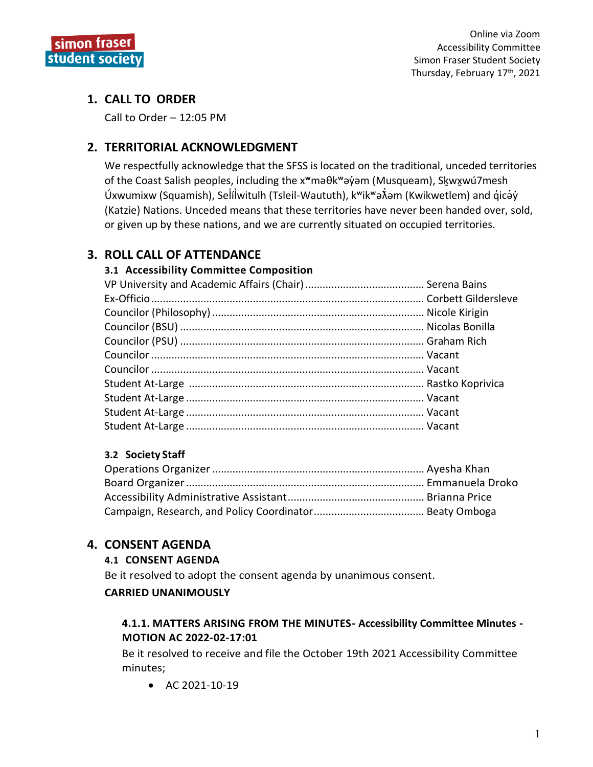

# 1. CALL TO ORDER

Call to Order - 12:05 PM

# 2. TERRITORIAL ACKNOWLEDGMENT

We respectfully acknowledge that the SFSS is located on the traditional, unceded territories of the Coast Salish peoples, including the x<sup>w</sup>maθk<sup>w</sup>ayam (Musqueam), Skwχwú7mesh Úxwumixw (Squamish), Selílwitulh (Tsleil-Waututh), k<sup>w</sup>ik<sup>w</sup>a Nam (Kwikwetlem) and qicay (Katzie) Nations. Unceded means that these territories have never been handed over, sold, or given up by these nations, and we are currently situated on occupied territories.

# **3. ROLL CALL OF ATTENDANCE**

# 3.1 Accessibility Committee Composition

# 3.2 Society Staff

# **4. CONSENT AGENDA**

# **4.1 CONSENT AGENDA**

Be it resolved to adopt the consent agenda by unanimous consent.

# **CARRIED UNANIMOUSLY**

# 4.1.1. MATTERS ARISING FROM THE MINUTES- Accessibility Committee Minutes -MOTION AC 2022-02-17:01

Be it resolved to receive and file the October 19th 2021 Accessibility Committee minutes;

• AC  $2021 - 10 - 19$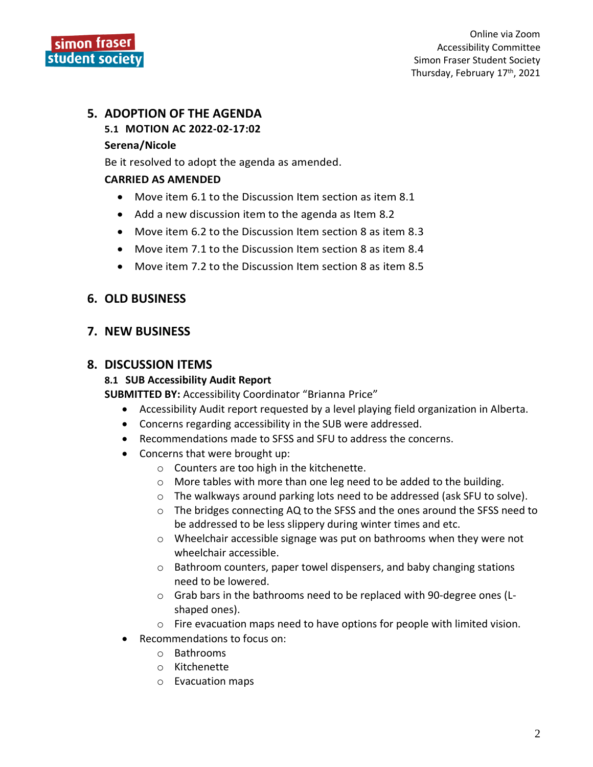

# **5. ADOPTION OF THE AGENDA**

# **5.1 MOTION AC 2022-02-17:02**

#### **Serena/Nicole**

Be it resolved to adopt the agenda as amended.

#### **CARRIED AS AMENDED**

- Move item 6.1 to the Discussion Item section as item 8.1
- Add a new discussion item to the agenda as Item 8.2
- Move item 6.2 to the Discussion Item section 8 as item 8.3
- Move item 7.1 to the Discussion Item section 8 as item 8.4
- Move item 7.2 to the Discussion Item section 8 as item 8.5

# **6. OLD BUSINESS**

# **7. NEW BUSINESS**

# **8. DISCUSSION ITEMS**

# **8.1 SUB Accessibility Audit Report**

**SUBMITTED BY:** Accessibility Coordinator "Brianna Price"

- Accessibility Audit report requested by a level playing field organization in Alberta.
- Concerns regarding accessibility in the SUB were addressed.
- Recommendations made to SFSS and SFU to address the concerns.
- Concerns that were brought up:
	- o Counters are too high in the kitchenette.
	- o More tables with more than one leg need to be added to the building.
	- $\circ$  The walkways around parking lots need to be addressed (ask SFU to solve).
	- o The bridges connecting AQ to the SFSS and the ones around the SFSS need to be addressed to be less slippery during winter times and etc.
	- $\circ$  Wheelchair accessible signage was put on bathrooms when they were not wheelchair accessible.
	- o Bathroom counters, paper towel dispensers, and baby changing stations need to be lowered.
	- o Grab bars in the bathrooms need to be replaced with 90-degree ones (Lshaped ones).
	- $\circ$  Fire evacuation maps need to have options for people with limited vision.
- Recommendations to focus on:
	- o Bathrooms
	- o Kitchenette
	- o Evacuation maps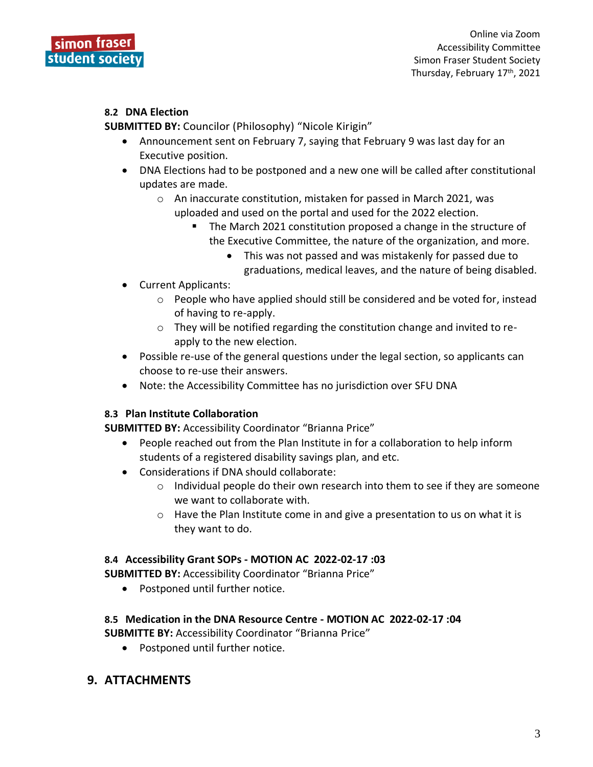

#### **8.2 DNA Election**

**SUBMITTED BY:** Councilor (Philosophy) "Nicole Kirigin"

- Announcement sent on February 7, saying that February 9 was last day for an Executive position.
- DNA Elections had to be postponed and a new one will be called after constitutional updates are made.
	- o An inaccurate constitution, mistaken for passed in March 2021, was uploaded and used on the portal and used for the 2022 election.
		- The March 2021 constitution proposed a change in the structure of the Executive Committee, the nature of the organization, and more.
			- This was not passed and was mistakenly for passed due to graduations, medical leaves, and the nature of being disabled.
- Current Applicants:
	- o People who have applied should still be considered and be voted for, instead of having to re-apply.
	- o They will be notified regarding the constitution change and invited to reapply to the new election.
- Possible re-use of the general questions under the legal section, so applicants can choose to re-use their answers.
- Note: the Accessibility Committee has no jurisdiction over SFU DNA

# **8.3 Plan Institute Collaboration**

**SUBMITTED BY:** Accessibility Coordinator "Brianna Price"

- People reached out from the Plan Institute in for a collaboration to help inform students of a registered disability savings plan, and etc.
- Considerations if DNA should collaborate:
	- $\circ$  Individual people do their own research into them to see if they are someone we want to collaborate with.
	- $\circ$  Have the Plan Institute come in and give a presentation to us on what it is they want to do.

# **8.4 Accessibility Grant SOPs - MOTION AC 2022-02-17 :03**

**SUBMITTED BY:** Accessibility Coordinator "Brianna Price"

• Postponed until further notice.

# **8.5 Medication in the DNA Resource Centre - MOTION AC 2022-02-17 :04**

**SUBMITTE BY:** Accessibility Coordinator "Brianna Price"

• Postponed until further notice.

# **9. ATTACHMENTS**